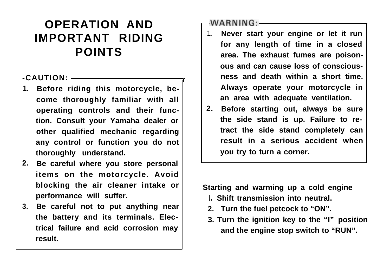# **OPERATION AND IMPORTANT RIDING POINTS**

# **-CAUTION:**

- **1. Before riding this motorcycle, become thoroughly familiar with all operating controls and their function. Consult your Yamaha dealer or other qualified mechanic regarding any control or function you do not thoroughly understand.**
- **2. Be careful where you store personal items on the motorcycle. Avoid blocking the air cleaner intake or performance will suffer.**
- **3. Be careful not to put anything near the battery and its terminals. Electrical failure and acid corrosion may result.**

# $WARNING:$

- 1. **Never start your engine or let it run for any length of time in a closed area. The exhaust fumes are poisonous and can cause loss of consciousness and death within a short time. Always operate your motorcycle in an area with adequate ventilation.**
- **2. Before starting out, always be sure the side stand is up. Failure to retract the side stand completely can result in a serious accident when you try to turn a corner.**

**Starting and warming up a cold engine**

- **1. Shift transmission into neutral.**
- **2. Turn the fuel petcock to "ON".**
- **3. Turn the ignition key to the "I" position and the engine stop switch to "RUN".**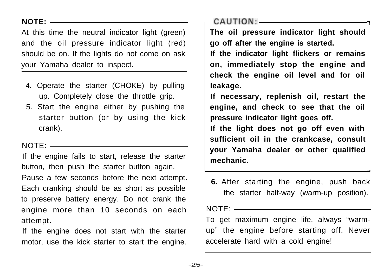# **NOTE:**

At this time the neutral indicator light (green) and the oil pressure indicator light (red) should be on. If the lights do not come on ask your Yamaha dealer to inspect.

- 4. Operate the starter (CHOKE) by pulling up. Completely close the throttle grip.
- 5. Start the engine either by pushing the starter button (or by using the kick crank).

# NOTE:

If the engine fails to start, release the starter button, then push the starter button again. Pause a few seconds before the next attempt. Each cranking should be as short as possible to preserve battery energy. Do not crank the engine more than 10 seconds on each attempt.

If the engine does not start with the starter motor, use the kick starter to start the engine.  $CAUTION:$ 

**The oil pressure indicator light should go off after the engine is started.**

-I

**If the indicator light flickers or remains on, immediately stop the engine and check the engine oil level and for oil leakage.**

**If necessary, replenish oil, restart the engine, and check to see that the oil pressure indicator light goes off.**

**If the light does not go off even with sufficient oil in the crankcase, consult your Yamaha dealer or other qualified mechanic.**

**6.** After starting the engine, push back the starter half-way (warm-up position).

 $NOTF:$ 

To get maximum engine life, always "warmup" the engine before starting off. Never accelerate hard with a cold engine!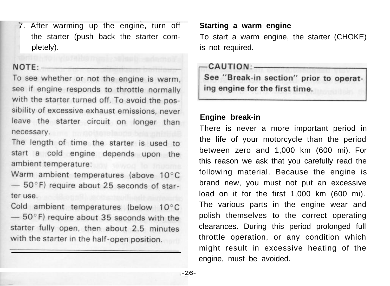7. After warming up the engine, turn off **Starting a warm engine** pletely). The pletely is not required.

#### $NOTF:$

To see whether or not the engine is warm. see if engine responds to throttle normally with the starter turned off. To avoid the possibility of excessive exhaust emissions, never leave the starter circuit on longer than necessary.

The length of time the starter is used to start a cold engine depends upon the ambient temperature: and the same

Warm ambient temperatures (above 10°C  $-50^{\circ}$ F) require about 25 seconds of starter use.

Cold ambient temperatures (below 10°C  $-50$ °F) require about 35 seconds with the starter fully open, then about 2.5 minutes with the starter in the half-open position.

the starter (push back the starter com- To start a warm engine, the starter (CHOKE)

### $CAUTION:$

See "Break-in section" prior to operating engine for the first time.

# **Engine break-in**

There is never a more important period in the life of your motorcycle than the period between zero and 1,000 km (600 mi). For this reason we ask that you carefully read the following material. Because the engine is brand new, you must not put an excessive load on it for the first 1,000 km (600 mi). The various parts in the engine wear and polish themselves to the correct operating clearances. During this period prolonged full throttle operation, or any condition which might result in excessive heating of the engine, must be avoided.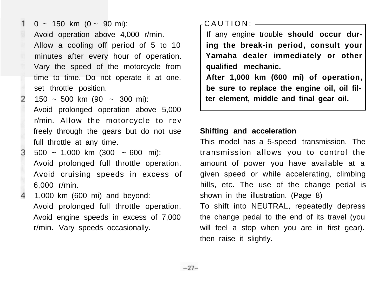$0 \sim 150$  km  $(0 \sim 90$  mi): Avoid operation above 4,000 r/min. Allow a cooling off period of 5 to 10 minutes after every hour of operation. Vary the speed of the motorcycle from time to time. Do not operate it at one. set throttle position.

 $\mathbf{1}$ 

 $\overline{2}$ 

3

 $150 \sim 500$  km  $(90 \sim 300$  mi): Avoid prolonged operation above 5,000 r/min. Allow the motorcycle to rev freely through the gears but do not use full throttle at any time.

500 ~ 1,000 km (300 ~ 600 mi): Avoid prolonged full throttle operation. Avoid cruising speeds in excess of 6,000 r/min.

1,000 km (600 mi) and beyond: Avoid prolonged full throttle operation. Avoid engine speeds in excess of 7,000 r/min. Vary speeds occasionally.

-CAUTION:

If any engine trouble **should occur during the break-in period, consult your Yamaha dealer immediately or other qualified mechanic.**

**After 1,000 km (600 mi) of operation, be sure to replace the engine oil, oil filter element, middle and final gear oil.**

#### **Shifting and acceleration**

This model has a 5-speed transmission. The transmission allows you to control the amount of power you have available at a given speed or while accelerating, climbing hills, etc. The use of the change pedal is shown in the illustration. (Page  $8$ )

To shift into NEUTRAL, repeatedly depress the change pedal to the end of its travel (you will feel a stop when you are in first gear). then raise it slightly.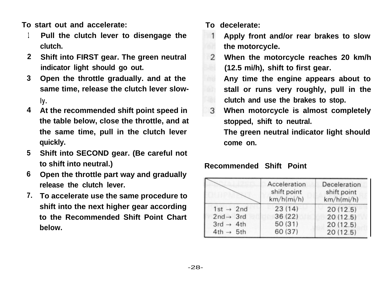**To start out and accelerate: To decelerate:**

- **1 Pull the clutch lever to disengage the clutch.**
- **2 Shift into FIRST gear. The green neutral indicator light should go out.**
- **3 Open the throttle gradually. and at the same time, release the clutch lever slow-**

**ly.**

- **4 At the recommended shift point speed in the table below, close the throttle, and at the same time, pull in the clutch lever quickly.**
- **5 Shift into SECOND gear. (Be careful not to shift into neutral.)**
- **6 Open the throttle part way and gradually release the clutch lever.**
- **7. To accelerate use the same procedure to shift into the next higher gear according to the Recommended Shift Point Chart below.**
- 
- $\mathbf{1}$ **Apply front and/or rear brakes to slow the motorcycle.**
- 2 **When the motorcycle reaches 20 km/h (12.5 mi/h), shift to first gear. Any time the engine appears about to stall or runs very roughly, pull in the clutch and use the brakes to stop.**
- 3 **When motorcycle is almost completely stopped, shift to neutral. The green neutral indicator light should come on.**

# **Recommended Shift Point**

|                       | Acceleration<br>shift point<br>km/h(mi/h) | Deceleration<br>shift point<br>km/h(mi/h) |
|-----------------------|-------------------------------------------|-------------------------------------------|
| $1st \rightarrow 2nd$ | 23(14)                                    | 20(12.5)                                  |
| $2nd \rightarrow 3rd$ | 36(22)                                    | 20(12.5)                                  |
| $3rd \rightarrow 4th$ | 50(31)                                    | 20(12.5)                                  |
| $4th \rightarrow 5th$ | 60 (37)                                   | 20(12.5)                                  |